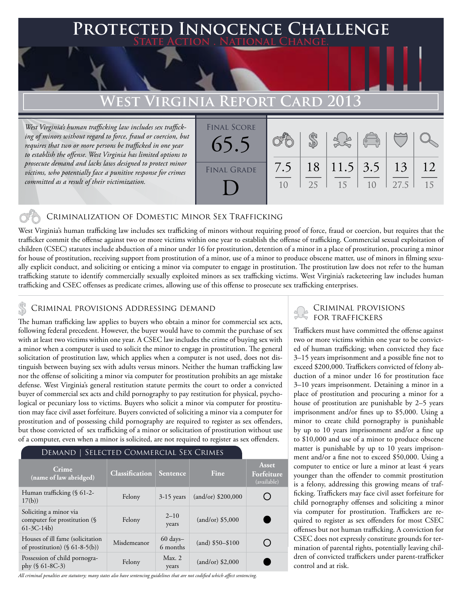### **Protected Innocence Challenge State Action . National Change.**

## **West Virginia Report Card 2013**

*West Virginia's human trafficking law includes sex trafficking of minors without regard to force, fraud or coercion, but requires that two or more persons be trafficked in one year to establish the offense. West Virginia has limited options to prosecute demand and lacks laws designed to protect minor victims, who potentially face a punitive response for crimes committed as a result of their victimization.*

| <b>FINAL SCORE</b><br>65.5 |           |          |    | $\sqrt{\frac{1}{10}}$               |      |          |
|----------------------------|-----------|----------|----|-------------------------------------|------|----------|
| <b>FINAL GRADE</b>         | 7.5<br>10 | 18<br>25 | 15 | $11.5$   3.5   13<br>1 <sub>0</sub> | 27.5 | 12<br>15 |

### Criminalization of Domestic Minor Sex Trafficking

West Virginia's human trafficking law includes sex trafficking of minors without requiring proof of force, fraud or coercion, but requires that the trafficker commit the offense against two or more victims within one year to establish the offense of trafficking. Commercial sexual exploitation of children (CSEC) statutes include abduction of a minor under 16 for prostitution, detention of a minor in a place of prostitution, procuring a minor for house of prostitution, receiving support from prostitution of a minor, use of a minor to produce obscene matter, use of minors in filming sexually explicit conduct, and soliciting or enticing a minor via computer to engage in prostitution. The prostitution law does not refer to the human trafficking statute to identify commercially sexually exploited minors as sex trafficking victims. West Virginia's racketeering law includes human trafficking and CSEC offenses as predicate crimes, allowing use of this offense to prosecute sex trafficking enterprises.

## CRIMINAL PROVISIONS ADDRESSING DEMAND<br>For traffickers & to the state of the state of the state of the state of the state of the state of the state o

The human trafficking law applies to buyers who obtain a minor for commercial sex acts, following federal precedent. However, the buyer would have to commit the purchase of sex with at least two victims within one year. A CSEC law includes the crime of buying sex with a minor when a computer is used to solicit the minor to engage in prostitution. The general solicitation of prostitution law, which applies when a computer is not used, does not distinguish between buying sex with adults versus minors. Neither the human trafficking law nor the offense of soliciting a minor via computer for prostitution prohibits an age mistake defense. West Virginia's general restitution statute permits the court to order a convicted buyer of commercial sex acts and child pornography to pay restitution for physical, psychological or pecuniary loss to victims. Buyers who solicit a minor via computer for prostitution may face civil asset forfeiture. Buyers convicted of soliciting a minor via a computer for prostitution and of possessing child pornography are required to register as sex offenders, but those convicted of sex trafficking of a minor or solicitation of prostitution without use of a computer, even when a minor is solicited, are not required to register as sex offenders.

#### Demand | Selected Commercial Sex Crimes **Asset Crime (name of law abridged) Classification Sentence Fine Forfeiture**  Human trafficking (§ 61-2- **Framan trancking** (s o<sub>1</sub>-2-<br>
Felony  $3-15$  years (and/or) \$200,000<br>  $17(b)$ O Soliciting a minor via Felony  $2-10$ computer for prostitution (§ (and/or) \$5,000 years 61-3C-14b) Houses of ill fame (solicitation Houses of ill fame (solicitation Misdemeanor 60 days–<br>of prostitution) (§ 61-8-5(b)) Misdemeanor 6 months  $(and)$  \$50–\$100 O Possession of child pornogra-<br>
phy (§ 61-8C-3) Felony Max. 2<br>
years (and/or) \$2,000years

*All criminal penalties are statutory; many states also have sentencing guidelines that are not codified which affect sentencing.* 

# Criminal provisions

Traffickers must have committed the offense against two or more victims within one year to be convicted of human trafficking; when convicted they face 3–15 years imprisonment and a possible fine not to exceed \$200,000. Traffickers convicted of felony abduction of a minor under 16 for prostitution face 3–10 years imprisonment. Detaining a minor in a place of prostitution and procuring a minor for a house of prostitution are punishable by 2–5 years imprisonment and/or fines up to \$5,000. Using a minor to create child pornography is punishable by up to 10 years imprisonment and/or a fine up to \$10,000 and use of a minor to produce obscene matter is punishable by up to 10 years imprisonment and/or a fine not to exceed \$50,000. Using a computer to entice or lure a minor at least 4 years younger than the offender to commit prostitution is a felony, addressing this growing means of trafficking. Traffickers may face civil asset forfeiture for child pornography offenses and soliciting a minor via computer for prostitution. Traffickers are required to register as sex offenders for most CSEC offenses but not human trafficking. A conviction for CSEC does not expressly constitute grounds for termination of parental rights, potentially leaving children of convicted traffickers under parent-trafficker control and at risk.